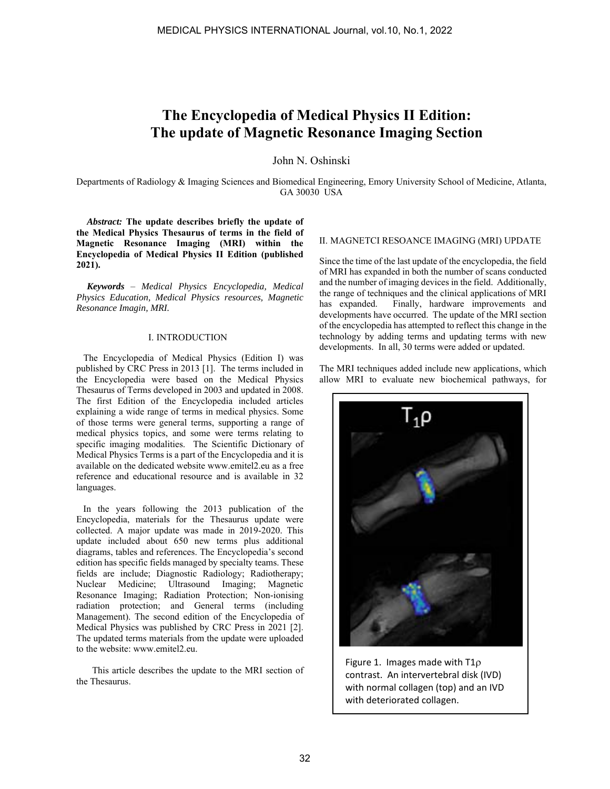# **The Encyclopedia of Medical Physics II Edition: The update of Magnetic Resonance Imaging Section**

John N. Oshinski

Departments of Radiology & Imaging Sciences and Biomedical Engineering, Emory University School of Medicine, Atlanta, GA 30030 USA

*Abstract:* **The update describes briefly the update of the Medical Physics Thesaurus of terms in the field of Magnetic Resonance Imaging (MRI) within the Encyclopedia of Medical Physics II Edition (published 2021).**

*Keywords* – *Medical Physics Encyclopedia, Medical Physics Education, Medical Physics resources, Magnetic Resonance Imagin, MRI.*

## I. INTRODUCTION

 The Encyclopedia of Medical Physics (Edition I) was published by CRC Press in 2013 [1]. The terms included in the Encyclopedia were based on the Medical Physics Thesaurus of Terms developed in 2003 and updated in 2008. The first Edition of the Encyclopedia included articles explaining a wide range of terms in medical physics. Some of those terms were general terms, supporting a range of medical physics topics, and some were terms relating to specific imaging modalities. The Scientific Dictionary of Medical Physics Terms is a part of the Encyclopedia and it is available on the dedicated website www.emitel2.eu as a free reference and educational resource and is available in 32 languages.

 In the years following the 2013 publication of the Encyclopedia, materials for the Thesaurus update were collected. A major update was made in 2019-2020. This update included about 650 new terms plus additional diagrams, tables and references. The Encyclopedia's second edition has specific fields managed by specialty teams. These fields are include; Diagnostic Radiology; Radiotherapy; Nuclear Medicine; Ultrasound Imaging; Magnetic Resonance Imaging; Radiation Protection; Non-ionising radiation protection; and General terms (including Management). The second edition of the Encyclopedia of Medical Physics was published by CRC Press in 2021 [2]. The updated terms materials from the update were uploaded to the website: www.emitel2.eu.

 This article describes the update to the MRI section of the Thesaurus.

# II. MAGNETCI RESOANCE IMAGING (MRI) UPDATE

Since the time of the last update of the encyclopedia, the field of MRI has expanded in both the number of scans conducted and the number of imaging devices in the field. Additionally, the range of techniques and the clinical applications of MRI has expanded. Finally, hardware improvements and developments have occurred. The update of the MRI section of the encyclopedia has attempted to reflect this change in the technology by adding terms and updating terms with new developments. In all, 30 terms were added or updated.

The MRI techniques added include new applications, which allow MRI to evaluate new biochemical pathways, for



Figure 1. Images made with  $T1\rho$ contrast. An intervertebral disk (IVD) with normal collagen (top) and an IVD with deteriorated collagen.